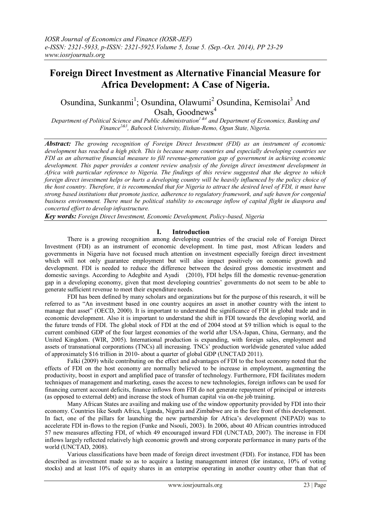# **Foreign Direct Investment as Alternative Financial Measure for Africa Development: A Case of Nigeria.**

Osundina, Sunkanmi<sup>1</sup>; Osundina, Olawumi<sup>2</sup> Osundina, Kemisolai<sup>3</sup> And Osah, Goodnews $4$ 

*Department of Political Science and Public Administration1 &4 and Department of Economics, Banking and Finance2&3 , Babcock University, Ilishan-Remo, Ogun State, Nigeria.*

*Abstract: The growing recognition of Foreign Direct Investment (FDI) as an instrument of economic development has reached a high pitch. This is because many countries and especially developing countries see FDI as an alternative financial measure to fill revenue-generation gap of government in achieving economic development. This paper provides a content review analysis of the foreign direct investment development in Africa with particular reference to Nigeria. The findings of this review suggested that the degree to which foreign direct investment helps or hurts a developing country will be heavily influenced by the policy choice of the host country. Therefore, it is recommended that for Nigeria to attract the desired level of FDI, it must have strong based institutions that promote justice, adherence to regulatory framework, and safe haven for congenial business environment. There must be political stability to encourage inflow of capital flight in diaspora and concerted effort to develop infrastructure.* 

*Key words: Foreign Direct Investment, Economic Development, Policy-based, Nigeria*

# **I. Introduction**

There is a growing recognition among developing countries of the crucial role of Foreign Direct Investment (FDI) as an instrument of economic development. In time past, most African leaders and governments in Nigeria have not focused much attention on investment especially foreign direct investment which will not only guarantee employment but will also impact positively on economic growth and development. FDI is needed to reduce the difference between the desired gross domestic investment and domestic savings. According to Adegbite and Ayadi (2010), FDI helps fill the domestic revenue-generation gap in a developing economy, given that most developing countries' governments do not seem to be able to generate sufficient revenue to meet their expenditure needs.

FDI has been defined by many scholars and organizations but for the purpose of this research, it will be referred to as "An investment based in one country acquires an asset in another country with the intent to manage that asset" (OECD, 2000). It is important to understand the significance of FDI in global trade and in economic development. Also it is important to understand the shift in FDI towards the developing world, and the future trends of FDI. The global stock of FDI at the end of 2004 stood at \$9 trillion which is equal to the current combined GDP of the four largest economies of the world after USA-Japan, China, Germany, and the United Kingdom. (WIR, 2005). International production is expanding, with foreign sales, employment and assets of transnational corporations (TNCs) all increasing. TNCs' production worldwide generated value added of approximately \$16 trillion in 2010- about a quarter of global GDP (UNCTAD 2011).

Falki (2009) while contributing on the effect and advantages of FDI to the host economy noted that the effects of FDI on the host economy are normally believed to be increase in employment, augmenting the productivity, boost in export and amplified pace of transfer of technology. Furthermore, FDI facilitates modern techniques of management and marketing, eases the access to new technologies, foreign inflows can be used for financing current account deficits, finance inflows from FDI do not generate repayment of principal or interests (as opposed to external debt) and increase the stock of human capital via on-the job training.

Many African States are availing and making use of the window opportunity provided by FDI into their economy. Countries like South Africa, Uganda, Nigeria and Zimbabwe are in the fore front of this development. In fact, one of the pillars for launching the new partnership for Africa's development (NEPAD) was to accelerate FDI in-flows to the region (Funke and Nsouli, 2003). In 2006, about 40 African countries introduced 57 new measures affecting FDI, of which 49 encouraged inward FDI (UNCTAD, 2007). The increase in FDI inflows largely reflected relatively high economic growth and strong corporate performance in many parts of the world (UNCTAD, 2008).

Various classifications have been made of foreign direct investment (FDI). For instance, FDI has been described as investment made so as to acquire a lasting management interest (for instance, 10% of voting stocks) and at least 10% of equity shares in an enterprise operating in another country other than that of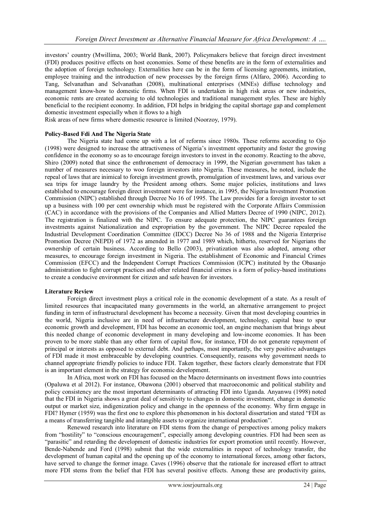investors' country (Mwillima, 2003; World Bank, 2007). Policymakers believe that foreign direct investment (FDI) produces positive effects on host economies. Some of these benefits are in the form of externalities and the adoption of foreign technology. Externalities here can be in the form of licensing agreements, imitation, employee training and the introduction of new processes by the foreign firms (Alfaro, 2006). According to Tang, Selvanathan and Selvanathan (2008), multinational enterprises (MNEs) diffuse technology and management know-how to domestic firms. When FDI is undertaken in high risk areas or new industries, economic rents are created accruing to old technologies and traditional management styles. These are highly beneficial to the recipient economy. In addition, FDI helps in bridging the capital shortage gap and complement domestic investment especially when it flows to a high

Risk areas of new firms where domestic resource is limited (Noorzoy, 1979).

#### **Policy-Based Fdi And The Nigeria State**

The Nigeria state had come up with a lot of reforms since 1980s. These reforms according to Ojo (1998) were designed to increase the attractiveness of Nigeria's investment opportunity and foster the growing confidence in the economy so as to encourage foreign investors to invest in the economy. Reacting to the above, Shiro (2009) noted that since the enthronement of democracy in 1999, the Nigerian government has taken a number of measures necessary to woo foreign investors into Nigeria. These measures, he noted, include the repeal of laws that are inimical to foreign investment growth, promulgation of investment laws, and various over sea trips for image laundry by the President among others. Some major policies, institutions and laws established to encourage foreign direct investment were for instance, in 1995, the Nigeria Investment Promotion Commission (NIPC) established through Decree No 16 of 1995. The Law provides for a foreign investor to set up a business with 100 per cent ownership which must be registered with the Corporate Affairs Commission (CAC) in accordance with the provisions of the Companies and Allied Matters Decree of 1990 (NIPC, 2012). The registration is finalized with the NIPC. To ensure adequate protection, the NIPC guarantees foreign investments against Nationalization and expropriation by the government. The NIPC Decree repealed the Industrial Development Coordination Committee (IDCC) Decree No 36 of 1988 and the Nigeria Enterprise Promotion Decree (NEPD) of 1972 as amended in 1977 and 1989 which, hitherto, reserved for Nigerians the ownership of certain business. According to Bello (2003), privatization was also adopted, among other measures, to encourage foreign investment in Nigeria. The establishment of Economic and Financial Crimes Commission (EFCC) and the Independent Corrupt Practices Commission (ICPC) instituted by the Obasanjo administration to fight corrupt practices and other related financial crimes is a form of policy-based institutions to create a conducive environment for citizen and safe heaven for investors.

#### **Literature Review**

Foreign direct investment plays a critical role in the economic development of a state. As a result of limited resources that incapacitated many governments in the world, an alternative arrangement to project funding in term of infrastructural development has become a necessity. Given that most developing countries in the world, Nigeria inclusive are in need of infrastructure development, technology, capital base to spur economic growth and development, FDI has become an economic tool, an engine mechanism that brings about this needed change of economic development in many developing and low-income economies. It has been proven to be more stable than any other form of capital flow, for instance, FDI do not generate repayment of principal or interests as opposed to external debt. And perhaps, most importantly, the very positive advantages of FDI made it most embraceable by developing countries. Consequently, reasons why government needs to channel appropriate friendly policies to induce FDI. Taken together, these factors clearly demonstrate that FDI is an important element in the strategy for economic development.

In Africa, most work on FDI has focused on the Macro determinants on investment flows into countries (Opaluwa et al 2012). For instance, Obawona (2001) observed that macroeconomic and political stability and policy consistency are the most important determinants of attracting FDI into Uganda. Anyanwu (1998) noted that the FDI in Nigeria shows a great deal of sensitivity to changes in domestic investment, change in domestic output or market size, indigenization policy and change in the openness of the economy. Why firm engage in FDI? Hymer (1959) was the first one to explore this phenomenon in his doctoral dissertation and stated "FDI as a means of transferring tangible and intangible assets to organize international production".

Renewed research into literature on FDI stems from the change of perspectives among policy makers from "hostility" to "conscious encouragement", especially among developing countries. FDI had been seen as "parasitic" and retarding the development of domestic industries for export promotion until recently. However, Bende-Nabende and Ford (1998) submit that the wide externalities in respect of technology transfer, the development of human capital and the opening up of the economy to international forces, among other factors, have served to change the former image. Caves (1996) observe that the rationale for increased effort to attract more FDI stems from the belief that FDI has several positive effects. Among these are productivity gains,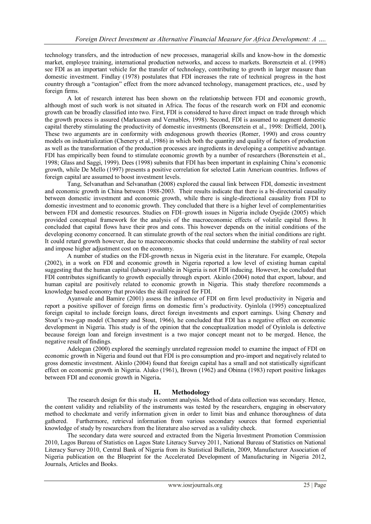technology transfers, and the introduction of new processes, managerial skills and know-how in the domestic market, employee training, international production networks, and access to markets. Borensztein et al. (1998) see FDI as an important vehicle for the transfer of technology, contributing to growth in larger measure than domestic investment. Findlay (1978) postulates that FDI increases the rate of technical progress in the host country through a "contagion" effect from the more advanced technology, management practices, etc., used by foreign firms.

A lot of research interest has been shown on the relationship between FDI and economic growth, although most of such work is not situated in Africa. The focus of the research work on FDI and economic growth can be broadly classified into two. First, FDI is considered to have direct impact on trade through which the growth process is assured (Markussen and Vernables, 1998). Second, FDI is assumed to augment domestic capital thereby stimulating the productivity of domestic investments (Borensztein et al., 1998: Driffield, 2001**).**  These two arguments are in conformity with endogenous growth theories (Romer, 1990) and cross country models on industrialization (Chenery et al.,1986) in which both the quantity and quality of factors of production as well as the transformation of the production processes are ingredients in developing a competitive advantage. FDI has empirically been found to stimulate economic growth by a number of researchers (Borensztein et al., 1998; Glass and Saggi, 1999). Dees (1998) submits that FDI has been important in explaining China's economic growth, while De Mello (1997) presents a positive correlation for selected Latin American countries. Inflows of foreign capital are assumed to boost investment levels.

Tang, Selvanathan and Selvanathan (2008) explored the causal link between FDI, domestic investment and economic growth in China between 1988-2003. Their results indicate that there is a bi-directorial causality between domestic investment and economic growth, while there is single-directional causality from FDI to domestic investment and to economic growth. They concluded that there is a higher level of complementarities between FDI and domestic resources. Studies on FDI–growth issues in Nigeria include Oyejide (2005) which provided conceptual framework for the analysis of the macroeconomic effects of volatile capital flows. It concluded that capital flows have their pros and cons. This however depends on the initial conditions of the developing economy concerned. It can stimulate growth of the real sectors when the initial conditions are right. It could retard growth however, due to macroeconomic shocks that could undermine the stability of real sector and impose higher adjustment cost on the economy.

A number of studies on the FDI-growth nexus in Nigeria exist in the literature. For example, Otepola (2002), in a work on FDI and economic growth in Nigeria reported a low level of existing human capital suggesting that the human capital (labour) available in Nigeria is not FDI inducing. However, he concluded that FDI contributes significantly to growth especially through export. Akinlo (2004) noted that export, labour, and human capital are positively related to economic growth in Nigeria. This study therefore recommends a knowledge based economy that provides the skill required for FDI.

Ayanwale and Bamire (2001) assess the influence of FDI on firm level productivity in Nigeria and report a positive spillover of foreign firms on domestic firm's productivity. Oyinlola (1995) conceptualized foreign capital to include foreign loans, direct foreign investments and export earnings. Using Chenery and Stout's two-gap model (Chenery and Stout, 1966), he concluded that FDI has a negative effect on economic development in Nigeria. This study is of the opinion that the conceptualization model of Oyinlola is defective because foreign loan and foreign investment is a two major concept meant not to be merged. Hence, the negative result of findings.

Adelegan (2000) explored the seemingly unrelated regression model to examine the impact of FDI on economic growth in Nigeria and found out that FDI is pro consumption and pro-import and negatively related to gross domestic investment. Akinlo (2004) found that foreign capital has a small and not statistically significant effect on economic growth in Nigeria. Aluko (1961), Brown (1962) and Obinna (1983) report positive linkages between FDI and economic growth in Nigeria**.**

# **II. Methodology**

The research design for this study is content analysis. Method of data collection was secondary. Hence, the content validity and reliability of the instruments was tested by the researchers, engaging in observatory method to checkmate and verify information given in order to limit bias and enhance thoroughness of data gathered. Furthermore, retrieval information from various secondary sources that formed experiential knowledge of study by researchers from the literature also served as a validity check.

The secondary data were sourced and extracted from the Nigeria Investment Promotion Commission 2010, Lagos Bureau of Statistics on Lagos State Literacy Survey 2011, National Bureau of Statistics on National Literacy Survey 2010, Central Bank of Nigeria from its Statistical Bulletin, 2009, Manufacturer Association of Nigeria publication on the Blueprint for the Accelerated Development of Manufacturing in Nigeria 2012, Journals, Articles and Books.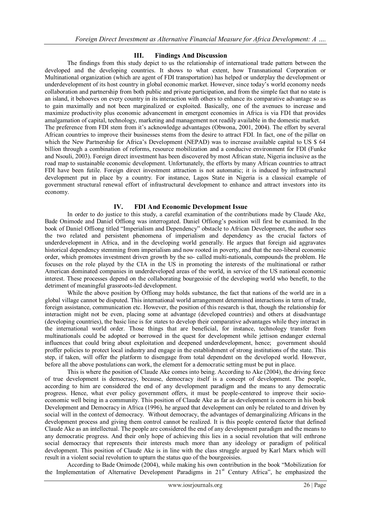# **III. Findings And Discussion**

The findings from this study depict to us the relationship of international trade pattern between the developed and the developing countries. It shows to what extent, how Transnational Corporation or Multinational organization (which are agent of FDI transportation) has helped or underplay the development or underdevelopment of its host country in global economic market. However, since today's world economy needs collaboration and partnership from both public and private participation, and from the simple fact that no state is an island, it behooves on every country in its interaction with others to enhance its comparative advantage so as to gain maximally and not been marginalized or exploited. Basically, one of the avenues to increase and maximize productivity plus economic advancement in emergent economies in Africa is via FDI that provides amalgamation of capital, technology, marketing and management not readily available in the domestic market. The preference from FDI stem from it's acknowledge advantages (Obwona, 2001, 2004). The effort by several African countries to improve their businesses stems from the desire to attract FDI. In fact, one of the pillar on which the New Partnership for Africa's Development (NEPAD) was to increase available capital to US \$ 64 billion through a combination of reforms, resource mobilization and a conducive environment for FDI (Funke and Nsouli, 2003). Foreign direct investment has been discovered by most African state, Nigeria inclusive as the road map to sustainable economic development. Unfortunately, the efforts by many African countries to attract FDI have been futile. Foreign direct investment attraction is not automatic; it is induced by infrastructural development put in place by a country. For instance, Lagos State in Nigeria is a classical example of government structural renewal effort of infrastructural development to enhance and attract investors into its economy.

#### **IV. FDI And Economic Development Issue**

In order to do justice to this study, a careful examination of the contributions made by Claude Ake, Bade Onimode and Daniel Offiong was interrogated. Daniel Offiong's position will first be examined. In the book of Daniel Offiong titled "Imperialism and Dependency" obstacle to African Development, the author sees the two related and persistent phenomena of imperialism and dependency as the crucial factors of underdevelopment in Africa, and in the developing world generally. He argues that foreign aid aggravates historical dependency stemming from imperialism and now rooted in poverty, and that the neo-liberal economic order, which promotes investment driven growth by the so- called multi-nationals, compounds the problem. He focuses on the role played by the CIA in the US in promoting the interests of the multinational or rather American dominated companies in underdeveloped areas of the world, in service of the US national economic interest. These processes depend on the collaborating bourgeoisie of the developing world who benefit, to the detriment of meaningful grassroots-led development.

While the above position by Offiong may holds substance, the fact that nations of the world are in a global village cannot be disputed. This international world arrangement determined interactions in term of trade, foreign assistance, communication etc. However, the position of this research is that, though the relationship for interaction might not be even, placing some at advantage (developed countries) and others at disadvantage (developing countries), the basic line is for states to develop their comparative advantages while they interact in the international world order. Those things that are beneficial, for instance, technology transfer from multinationals could be adopted or borrowed in the quest for development while jettison endanger external influences that could bring about exploitation and deepened underdevelopment, hence; government should proffer policies to protect local industry and engage in the establishment of strong institutions of the state. This step, if taken, will offer the platform to disengage from total dependent on the developed world. However, before all the above postulations can work, the element for a democratic setting must be put in place.

This is where the position of Claude Ake comes into being. According to Ake (2004), the driving force of true development is democracy, because, democracy itself is a concept of development. The people, according to him are considered the end of any development paradigm and the means to any democratic progress. Hence, what ever policy government offers, it must be people-centered to improve their socioeconomic well being in a community. This position of Claude Ake as far as development is concern in his book Development and Democracy in Africa (1996), he argued that development can only be related to and driven by social will in the context of democracy. Without democracy, the advantages of demarginalizing Africans in the development process and giving them control cannot be realized. It is this people centered factor that defined Claude Ake as an intellectual. The people are considered the end of any development paradigm and the means to any democratic progress. And their only hope of achieving this lies in a social revolution that will enthrone social democracy that represents their interests much more than any ideology or paradigm of political development. This position of Claude Ake is in line with the class struggle argued by Karl Marx which will result in a violent social revolution to upturn the status quo of the bourgeoisies.

According to Bade Onimode (2004), while making his own contribution in the book "Mobilization for the Implementation of Alternative Development Paradigms in 21<sup>st</sup> Century Africa", he emphasized the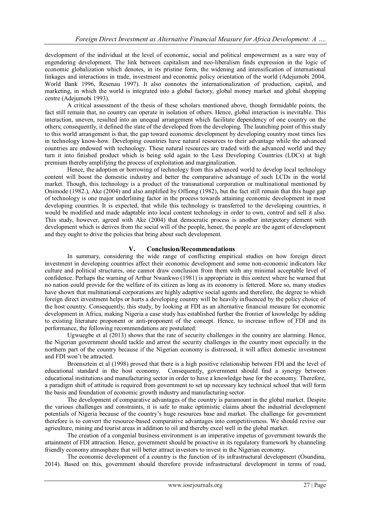development of the individual at the level of economic, social and political empowerment as a sure way of engendering development. The link between capitalism and neo-liberalism finds expression in the logic of economic globalization which denotes, in its pristine form, the widening and intensification of international linkages and interactions in trade, investment and economic policy orientation of the world (Adejumobi 2004, World Bank 1996, Resenau 1997). It also connotes the internationalization of production, capital, and marketing, in which the world is integrated into a global factory, global money market and global shopping centre (Adejumobi 1993).

A critical assessment of the thesis of these scholars mentioned above, though formidable points, the fact still remain that, no country can operate in isolation of others. Hence, global interaction is inevitable. This interaction, uneven, resulted into an unequal arrangement which facilitate dependency of one country on the others; consequently, it defined the state of the developed from the developing. The launching point of this study to this world arrangement is that, the gap toward economic development by developing country most times lies in technology know-how. Developing countries have natural resources to their advantage while the advanced countries are endowed with technology. These natural resources are traded with the advanced world and they turn it into finished product which is being sold again to the Less Developing Countries (LDCs) at high premium thereby amplifying the process of exploitation and marginalization.

Hence, the adoption or borrowing of technology from this advanced world to develop local technology content will boost the domestic industry and better the comparative advantage of such LCDs in the world market. Though, this technology is a product of the transnational corporation or multinational mentioned by Onimode (1982.), Ake (2004) and also amplified by Offiong (1982), but the fact still remain that this huge gap of technology is one major underlining factor in the process towards attaining economic development in most developing countries. It is expected, that while this technology is transferred to the developing countries, it would be modified and made adaptable into local content technology in order to own, control and sell it also. This study, however, agreed with Ake (2004) that democratic process is another interjectory element with development which is derives from the social will of the people, hence, the people are the agent of development and they ought to drive the policies that bring about such development.

# **V. Conclusion/Recommendations**

In summary, considering the wide range of conflicting empirical studies on how foreign direct investment in developing countries affect their economic development and some non-economic indicators like culture and political structures, one cannot draw conclusion from them with any minimal acceptable level of confidence. Perhaps the warning of Arthur Nwankwo (1981) is appropriate in this context where he warned that no nation could provide for the welfare of its citizen as long as its economy is fettered. More so, many studies have shown that multinational corporations are highly adaptive social agents and therefore, the degree to which foreign direct investment helps or hurts a developing country will be heavily influenced by the policy choice of the host country. Consequently, this study, by looking at FDI as an alternative financial measure for economic development in Africa, making Nigeria a case study has established further the frontier of knowledge by adding to existing literature proponent or anti-proponent of the concept. Hence, to increase inflow of FDI and its performance, the following recommendations are postulated:

Ugwuegbe et al (2013) shows that the rate of security challenges in the country are alarming. Hence, the Nigerian government should tackle and arrest the security challenges in the country most especially in the northern part of the country because if the Nigerian economy is distressed, it will affect domestic investment and FDI won't be attracted.

Broensztein et al (1998) proved that there is a high positive relationship between FDI and the level of educational standard in the host economy. Consequently, government should find a synergy between educational institutions and manufacturing sector in order to have a knowledge base for the economy. Therefore, a paradigm shift of attitude is required from government to set up necessary key technical school that will form the basis and foundation of economic growth industry and manufacturing sector.

The development of comparative advantages of the country is paramount in the global market. Despite the various challenges and constraints, it is safe to make optimistic claims about the industrial development potentials of Nigeria because of the country's huge resources base and market. The challenge for government therefore is to convert the resource-based comparative advantages into competitiveness. We should revive our agriculture, mining and tourist areas in addition to oil and thereby excel well in the global market.

The creation of a congenial business environment is an imperative impetus of government towards the attainment of FDI attraction. Hence, government should be proactive in its regulatory framework by channeling friendly economy atmosphere that will better attract investors to invest in the Nigerian economy.

The economic development of a country is the function of its infrastructural development (Osundina, 2014). Based on this, government should therefore provide infrastructural development in terms of road,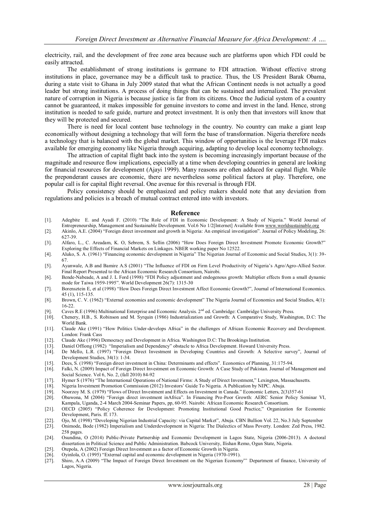electricity, rail, and the development of free zone area because such are platforms upon which FDI could be easily attracted.

The establishment of strong institutions is germane to FDI attraction. Without effective strong institutions in place, governance may be a difficult task to practice. Thus, the US President Barak Obama, during a state visit to Ghana in July 2009 stated that what the African Continent needs is not actually a good leader but strong institutions. A process of doing things that can be sustained and internalized. The prevalent nature of corruption in Nigeria is because justice is far from its citizens. Once the Judicial system of a country cannot be guaranteed, it makes impossible for genuine investors to come and invest in the land. Hence, strong institution is needed to safe guide, nurture and protect investment. It is only then that investors will know that they will be protected and secured.

There is need for local content base technology in the country. No country can make a giant leap economically without designing a technology that will form the base of transformation. Nigeria therefore needs a technology that is balanced with the global market. This window of opportunities is the leverage FDI makes available for emerging economy like Nigeria through acquiring, adapting to develop local economy technology.

The attraction of capital flight back into the system is becoming increasingly important because of the magnitude and resource flow implications, especially at a time when developing countries in general are looking for financial resources for development (Ajayi 1999). Many reasons are often adduced for capital flight. While the preponderant causes are economic, there are nevertheless some political factors at play. Therefore, one popular call is for capital flight reversal. One avenue for this reversal is through FDI.

Policy consistency should be emphasized and policy makers should note that any deviation from regulations and policies is a breach of mutual contract entered into with investors.

#### **Reference**

- [1]. Adegbite E. and Ayadi F. (2010) "The Role of FDI in Economic Development: A Study of Nigeria." World Journal of Entrepreneurship, Management and Sustainable Development. Vol.6 No 1/2[Internet] Available fro[m www.worldsustainable.org](http://www.worldsustainable.org/)
- [2]. Akinlo, A.E. (2004) "Foreign direct investment and growth in Nigeria: An empirical investigation". Journal of Policy Modeling, 26: 627-39.
- [3]. Alfaro, L., C. Areadam, K. O, Sebrem, S. Sellin (2006) "How Does Foreign Direct Investment Promote Economic Growth?" Exploring the Effects of Financial Markets on Linkages. NBER working paper No 12522.
- [4]. Aluko, S. A. (1961) "Financing economic development in Nigeria" The Nigerian Journal of Economic and Social Studies, 3(1): 39- 67.
- [5]. Ayanwale, A.B and Bamire A.S (2001) "The Influence of FDI on Firm Level Productivity of Nigeria's Agro/Agro-Allied Sector. Final Report Presented to the African Economic Research Consortium, Nairobi.
- [6]. Bende-Nabeade, A and J. L Ford (1998) "FDI Policy adjustment and endogenous growth: Multiplier effects from a small dynamic mode for Taiwa 1959-1995". World Development 26(7): 1315-30
- [7]. Borensztein E, et al (1998) "How Does Foreign Direct Investment Affect Economic Growth?", Journal of International Economics. 45 (1), 115-135.
- [8]. Brown, C. V. (1962) "External economies and economic development" The Nigeria Journal of Economics and Social Studies, 4(1): 16-22.
- [9]. Caves R.E (1996) Multinational Enterprise and Economic Analysis. 2<sup>nd</sup> ed. Cambridge: Cambridge University Press.
- [10]. Chenery, H.B., S. Robinson and M. Syrquin (1986) Industrialization and Growth: A Comparative Study, Washington, D.C: The World Bank.
- [11]. Claude Ake (1991) "How Politics Under-develops Africa" in the challenges of African Economic Recovery and Development. London: Frank Cass
- [12]. Claude Ake (1996) Democracy and Development in Africa. Washington D.C: The Brookings Institution.<br>[13]. Daniel Offiong (1982) "Imperialism and Dependency" obstacle to Africa Development. Howard Univer
- [13]. Daniel Offiong (1982) "Imperialism and Dependency" obstacle to Africa Development. Howard University Press.<br>[14]. De Mello, L.R. (1997) "Foreign Direct Investment in Developing Countries and Growth: A Selective sur
- De Mello, L.R. (1997) "Foreign Direct Investment in Developing Countries and Growth: A Selective survey", Journal of Development Studies, 34(1): 1-34.
- [15]. Dees, S. (1998) "Foreign direct investment in China: Determinants and effects". Economics of Planning, 31:175-94.
- Falki, N. (2009) Impact of Foreign Direct Investment on Economic Growth: A Case Study of Pakistan. Journal of Management and Social Science. Vol 6, No. 2, (fall 2010) 84-92
- [17]. Hymer S (1976) "The International Operations of National Firms: A Study of Direct Investment," Lexington, Massachusetts.
- [18]. Nigeria Investment Promotion Commission (2012) Investors' Guide To Nigeria. A Publication by NIPC. Abuja.
- [19]. Noorzoy M. S. (1979) "Flows of Direct Investment and Effects on Investment in Canada." Economic Letters, 2(3)357-61
- [20]. Obawona, M (2004) "Foreign direct investment inAfrica". In Financing Pro-Poor Growth: AERC Senior Policy Seminar VI,
- Kampala, Uganda, 2-4 March 2004-Seminar Papers, pp, 60-95. Nairobi: African Economic Research Consortium. [21]. OECD (2005) "Policy Coherence for Development: Promoting Institutional Good Practice," Organization for Economic Development, Paris. ff. 173.
- [22]. Ojo, M. (1998) "Developing Nigerian Industrial Capacity: via Capital Market", Abuja. CBN Bullion Vol. 22, No.3 July September
- [23]. Onimode, Bode (1982) Imperialism and Underdevelopment in Nigeria: The Dialectics of Mass Poverty. London: Zed Press, 1982. 258 pages.
- [24]. Osundina, O (2014) Public-Private Partnership and Economic Development in Lagos State, Nigeria (2006-2013). A doctoral dissertation in Political Science and Public Administration. Babcock University, Ilishan Remo, Ogun State, Nigeria.
- [25]. Otepola, A (2002) Foreign Direct Investment as a factor of Economic Growth in Nigeria.<br>[26]. Oyinlola, O. (1995) "External capital and economic development in Nigeria (1970-1991).
- Oyinlola, O. (1995) "External capital and economic development in Nigeria (1970-1991).
- [27]. Shiro, A.A (2009) "The Impact of Foreign Direct Investment on the Nigerian Economy"' Department of finance, University of Lagos, Nigeria.